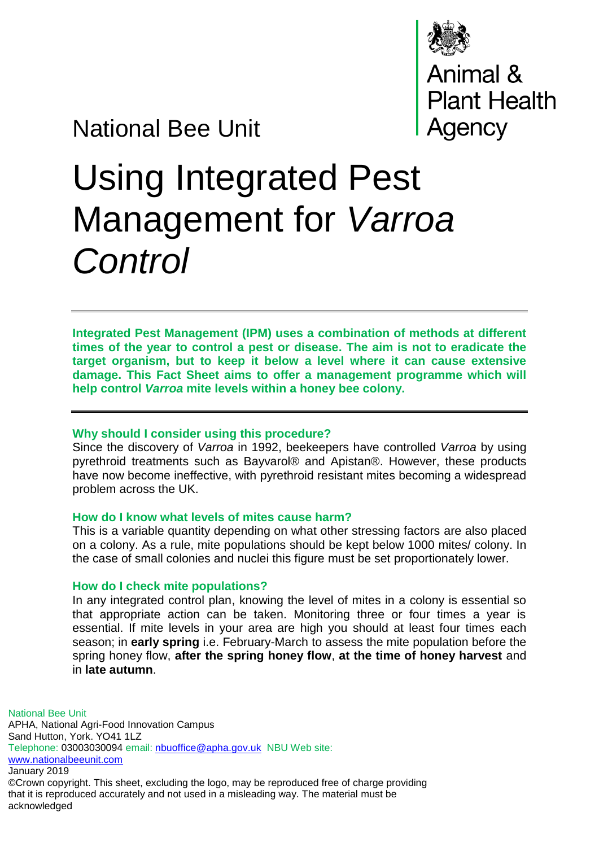

National Bee Unit

# Using Integrated Pest Management for *Varroa Control*

**Integrated Pest Management (IPM) uses a combination of methods at different times of the year to control a pest or disease. The aim is not to eradicate the target organism, but to keep it below a level where it can cause extensive damage. This Fact Sheet aims to offer a management programme which will help control** *Varroa* **mite levels within a honey bee colony.**

## **Why should I consider using this procedure?**

Since the discovery of *Varroa* in 1992, beekeepers have controlled *Varroa* by using pyrethroid treatments such as Bayvarol® and Apistan®. However, these products have now become ineffective, with pyrethroid resistant mites becoming a widespread problem across the UK.

#### **How do I know what levels of mites cause harm?**

This is a variable quantity depending on what other stressing factors are also placed on a colony. As a rule, mite populations should be kept below 1000 mites/ colony. In the case of small colonies and nuclei this figure must be set proportionately lower.

## **How do I check mite populations?**

In any integrated control plan, knowing the level of mites in a colony is essential so that appropriate action can be taken. Monitoring three or four times a year is essential. If mite levels in your area are high you should at least four times each season; in **early spring** i.e. February-March to assess the mite population before the spring honey flow, **after the spring honey flow**, **at the time of honey harvest** and in **late autumn**.

National Bee Unit APHA, National Agri-Food Innovation Campus Sand Hutton, York. YO41 1LZ Telephone: 03003030094 email: [nbuoffice@apha.gov.uk](mailto:nbuoffice@apha.gov.uk) NBU Web site: [www.nationalbeeunit.com](http://www.nationalbeeunit.com/) January 2019 ©Crown copyright. This sheet, excluding the logo, may be reproduced free of charge providing that it is reproduced accurately and not used in a misleading way. The material must be

acknowledged